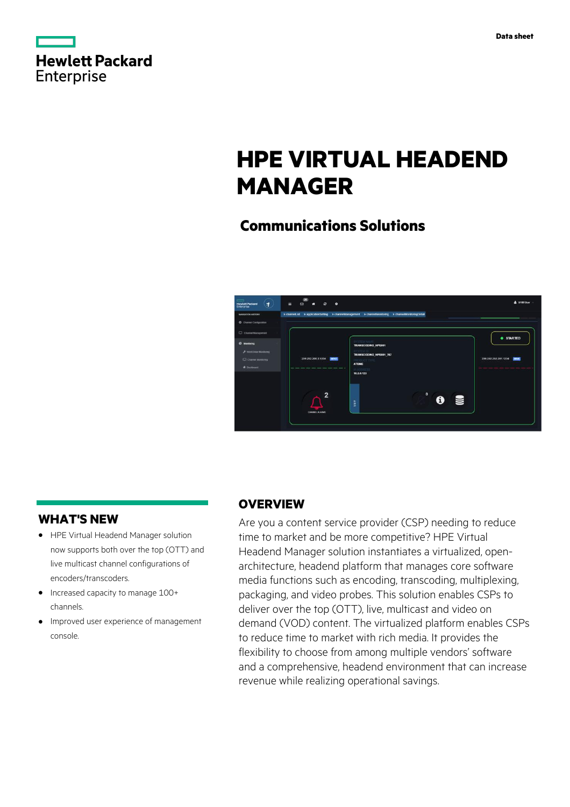|                   | <b>Hewlett Packard</b> |
|-------------------|------------------------|
| <b>Enterprise</b> |                        |

# **HPE VIRTUAL HEADEND MANAGER**

# **Communications Solutions**



# **WHAT'S NEW**

- **·** HPE Virtual Headend Manager solution now supports both over the top (OTT) and live multicast channel configurations of encoders/transcoders.
- **·** Increased capacity to manage 100+ channels.
- **·** Improved user experience of management console.

# **OVERVIEW**

Are you a content service provider (CSP) needing to reduce time to market and be more competitive? HPE Virtual Headend Manager solution instantiates a virtualized, openarchitecture, headend platform that manages core software media functions such as encoding, transcoding, multiplexing, packaging, and video probes. This solution enables CSPs to deliver over the top (OTT), live, multicast and video on demand (VOD) content. The virtualized platform enables CSPs to reduce time to market with rich media. It provides the flexibility to choose from among multiple vendors' software and a comprehensive, headend environment that can increase revenue while realizing operational savings.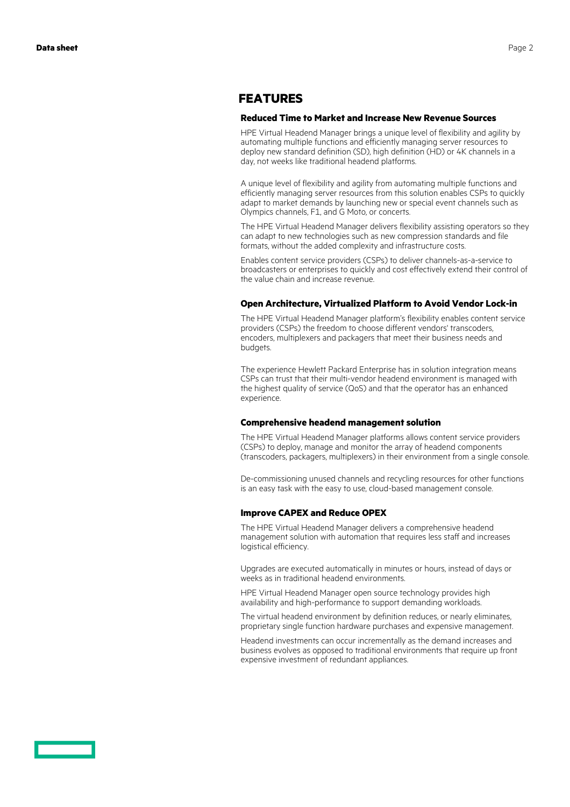### **FEATURES**

#### **Reduced Time to Market and Increase New Revenue Sources**

HPE Virtual Headend Manager brings a unique level of flexibility and agility by automating multiple functions and efficiently managing server resources to deploy new standard definition (SD), high definition (HD) or 4K channels in a day, not weeks like traditional headend platforms.

A unique level of flexibility and agility from automating multiple functions and efficiently managing server resources from this solution enables CSPs to quickly adapt to market demands by launching new or special event channels such as Olympics channels, F1, and G Moto, or concerts.

The HPE Virtual Headend Manager delivers flexibility assisting operators so they can adapt to new technologies such as new compression standards and file formats, without the added complexity and infrastructure costs.

Enables content service providers (CSPs) to deliver channels-as-a-service to broadcasters or enterprises to quickly and cost effectively extend their control of the value chain and increase revenue.

#### **Open Architecture, Virtualized Platform to Avoid Vendor Lock-in**

The HPE Virtual Headend Manager platform's flexibility enables content service providers (CSPs) the freedom to choose different vendors' transcoders, encoders, multiplexers and packagers that meet their business needs and budgets.

The experience Hewlett Packard Enterprise has in solution integration means CSPs can trust that their multi-vendor headend environment is managed with the highest quality of service (QoS) and that the operator has an enhanced experience.

#### **Comprehensive headend management solution**

The HPE Virtual Headend Manager platforms allows content service providers (CSPs) to deploy, manage and monitor the array of headend components (transcoders, packagers, multiplexers) in their environment from a single console.

De-commissioning unused channels and recycling resources for other functions is an easy task with the easy to use, cloud-based management console.

#### **Improve CAPEX and Reduce OPEX**

The HPE Virtual Headend Manager delivers a comprehensive headend management solution with automation that requires less staff and increases logistical efficiency.

Upgrades are executed automatically in minutes or hours, instead of days or weeks as in traditional headend environments.

HPE Virtual Headend Manager open source technology provides high availability and high-performance to support demanding workloads.

The virtual headend environment by definition reduces, or nearly eliminates, proprietary single function hardware purchases and expensive management.

Headend investments can occur incrementally as the demand increases and business evolves as opposed to traditional environments that require up front expensive investment of redundant appliances.